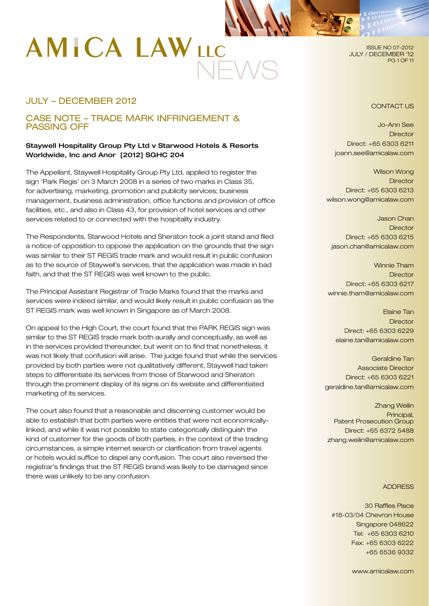# NEWS

# JULY – DECEMBER 2012

# CASE NOTE – TRADE MARK INFRINGEMENT & PASSING OFF

## Staywell Hospitality Group Pty Ltd v Starwood Hotels & Resorts Worldwide, Inc and Anor [2012] SGHC 204

The Appellant, Staywell Hospitality Group Pty Ltd, applied to register the sign 'Park Regis' on 3 March 2008 in a series of two marks in Class 35, for advertising, marketing, promotion and publicity services; business management, business administration, office functions and provision of office facilities, etc., and also in Class 43, for provision of hotel services and other services related to or connected with the hospitality industry.

The Respondents, Starwood Hotels and Sheraton took a joint stand and filed a notice of opposition to oppose the application on the grounds that the sign was similar to their ST REGIS trade mark and would result in public confusion as to the source of Staywell's services, that the application was made in bad faith, and that the ST REGIS was well known to the public.

The Principal Assistant Registrar of Trade Marks found that the marks and services were indeed similar, and would likely result in public confusion as the ST REGIS mark was well known in Singapore as of March 2008.

On appeal to the High Court, the court found that the PARK REGIS sign was similar to the ST REGIS trade mark both aurally and conceptually, as well as in the services provided thereunder, but went on to find that nonetheless, it was not likely that confusion will arise. The judge found that while the services provided by both parties were not qualitatively different, Staywell had taken steps to differentiate its services from those of Starwood and Sheraton through the prominent display of its signs on its website and differentiated marketing of its services.

The court also found that a reasonable and discerning customer would be able to establish that both parties were entities that were not economicallylinked, and while it was not possible to state categorically distinguish the kind of customer for the goods of both parties, in the context of the trading circumstances, a simple internet search or clarification from travel agents or hotels would suffice to dispel any confusion. The court also reversed the registrar's findings that the ST REGIS brand was likely to be damaged since there was unlikely to be any confusion.

ISSUE NO 07-2012 JULY / DECEMBER '12 PG 1 OF 11

#### CONTACT US

Jo-Ann See **Director** Direct: +65 6303 6211 joann.see@amicalaw.com

Wilson Wong **Director** Direct: +65 6303 6213 wilson.wong@amicalaw.com

Jason Chan **Director** Direct: +65 6303 6215 jason.chan@amicalaw.com

Winnie Tham **Director** Direct: +65 6303 6217 winnie.tham@amicalaw.com

Elaine Tan **Director** Direct: +65 6303 6229 elaine.tan@amicalaw.com

Geraldine Tan Associate Director Direct: +65 6303 6221 geraldine.tan@amicalaw.com

Zhang Weilin Principal, Patent Prosecution Group Direct: +65 6372 5488 zhang.weilin@amicalaw.com

#### **ADDRESS**

30 Raffles Place #18-03/04 Chevron House Singapore 048622 Tel: +65 6303 6210 Fax: +65 6303 6222 +65 6536 9332

www.amicalaw.com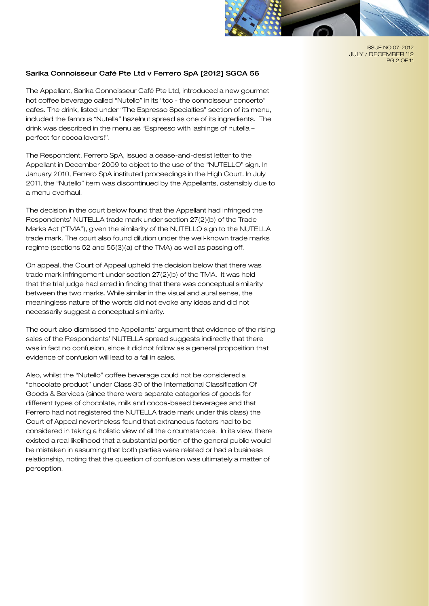

ISSUE NO 07-2012 JULY / DECEMBER '12 PG 2 OF 11

#### Sarika Connoisseur Café Pte Ltd v Ferrero SpA [2012] SGCA 56

The Appellant, Sarika Connoisseur Café Pte Ltd, introduced a new gourmet hot coffee beverage called "Nutello" in its "tcc - the connoisseur concerto" cafes. The drink, listed under "The Espresso Specialties" section of its menu, included the famous "Nutella" hazelnut spread as one of its ingredients. The drink was described in the menu as "Espresso with lashings of nutella – perfect for cocoa lovers!".

The Respondent, Ferrero SpA, issued a cease-and-desist letter to the Appellant in December 2009 to object to the use of the "NUTELLO" sign. In January 2010, Ferrero SpA instituted proceedings in the High Court. In July 2011, the "Nutello" item was discontinued by the Appellants, ostensibly due to a menu overhaul.

The decision in the court below found that the Appellant had infringed the Respondents' NUTELLA trade mark under section 27(2)(b) of the Trade Marks Act ("TMA"), given the similarity of the NUTELLO sign to the NUTELLA trade mark. The court also found dilution under the well-known trade marks regime (sections 52 and 55(3)(a) of the TMA) as well as passing off.

On appeal, the Court of Appeal upheld the decision below that there was trade mark infringement under section 27(2)(b) of the TMA. It was held that the trial judge had erred in finding that there was conceptual similarity between the two marks. While similar in the visual and aural sense, the meaningless nature of the words did not evoke any ideas and did not necessarily suggest a conceptual similarity.

The court also dismissed the Appellants' argument that evidence of the rising sales of the Respondents' NUTELLA spread suggests indirectly that there was in fact no confusion, since it did not follow as a general proposition that evidence of confusion will lead to a fall in sales.

Also, whilst the "Nutello" coffee beverage could not be considered a "chocolate product" under Class 30 of the International Classification Of Goods & Services (since there were separate categories of goods for different types of chocolate, milk and cocoa-based beverages and that Ferrero had not registered the NUTELLA trade mark under this class) the Court of Appeal nevertheless found that extraneous factors had to be considered in taking a holistic view of all the circumstances. In its view, there existed a real likelihood that a substantial portion of the general public would be mistaken in assuming that both parties were related or had a business relationship, noting that the question of confusion was ultimately a matter of perception.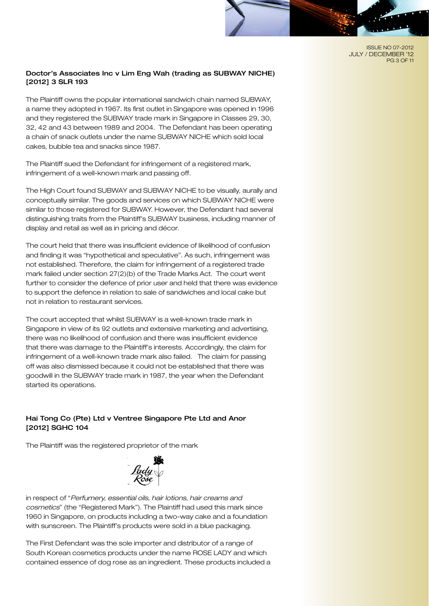ISSUE NO 07-2012 JULY / DECEMBER '12 PG 3 OF 11

## Doctor's Associates Inc v Lim Eng Wah (trading as SUBWAY NICHE) [2012] 3 SLR 193

The Plaintiff owns the popular international sandwich chain named SUBWAY, a name they adopted in 1967. Its first outlet in Singapore was opened in 1996 and they registered the SUBWAY trade mark in Singapore in Classes 29, 30, 32, 42 and 43 between 1989 and 2004. The Defendant has been operating a chain of snack outlets under the name SUBWAY NICHE which sold local cakes, bubble tea and snacks since 1987.

The Plaintiff sued the Defendant for infringement of a registered mark, infringement of a well-known mark and passing off.

The High Court found SUBWAY and SUBWAY NICHE to be visually, aurally and conceptually similar. The goods and services on which SUBWAY NICHE were similar to those registered for SUBWAY. However, the Defendant had several distinguishing traits from the Plaintiff's SUBWAY business, including manner of display and retail as well as in pricing and décor.

The court held that there was insufficient evidence of likelihood of confusion and finding it was "hypothetical and speculative". As such, infringement was not established. Therefore, the claim for infringement of a registered trade mark failed under section 27(2)(b) of the Trade Marks Act. The court went further to consider the defence of prior user and held that there was evidence to support the defence in relation to sale of sandwiches and local cake but not in relation to restaurant services.

The court accepted that whilst SUBWAY is a well-known trade mark in Singapore in view of its 92 outlets and extensive marketing and advertising, there was no likelihood of confusion and there was insufficient evidence that there was damage to the Plaintiff's interests. Accordingly, the claim for infringement of a well-known trade mark also failed. The claim for passing off was also dismissed because it could not be established that there was goodwill in the SUBWAY trade mark in 1987, the year when the Defendant started its operations.

## Hai Tong Co (Pte) Ltd v Ventree Singapore Pte Ltd and Anor [2012] SGHC 104

The Plaintiff was the registered proprietor of the mark



in respect of "*Perfumery, essential oils, hair lotions, hair creams and cosmetics*" (the "Registered Mark"). The Plaintiff had used this mark since 1960 in Singapore, on products including a two-way cake and a foundation with sunscreen. The Plaintiff's products were sold in a blue packaging.

The First Defendant was the sole importer and distributor of a range of South Korean cosmetics products under the name ROSE LADY and which contained essence of dog rose as an ingredient. These products included a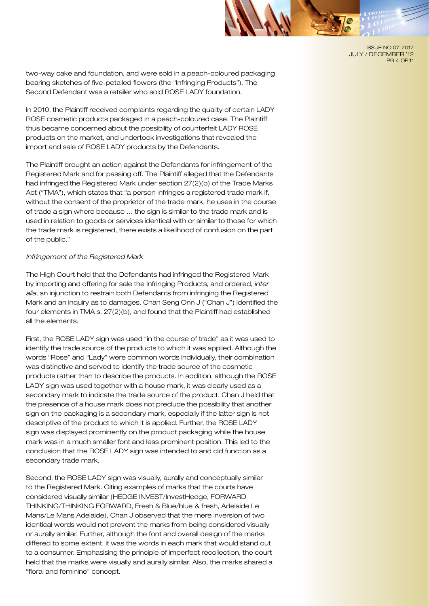ISSUE NO 07-2012

JULY / DECEMBER '12 PG 4 OF 11

two-way cake and foundation, and were sold in a peach-coloured packaging bearing sketches of five-petalled flowers (the "Infringing Products"). The Second Defendant was a retailer who sold ROSE LADY foundation.

In 2010, the Plaintiff received complaints regarding the quality of certain LADY ROSE cosmetic products packaged in a peach-coloured case. The Plaintiff thus became concerned about the possibility of counterfeit LADY ROSE products on the market, and undertook investigations that revealed the import and sale of ROSE LADY products by the Defendants.

The Plaintiff brought an action against the Defendants for infringement of the Registered Mark and for passing off. The Plaintiff alleged that the Defendants had infringed the Registered Mark under section 27(2)(b) of the Trade Marks Act ("TMA"), which states that "a person infringes a registered trade mark if, without the consent of the proprietor of the trade mark, he uses in the course of trade a sign where because … the sign is similar to the trade mark and is used in relation to goods or services identical with or similar to those for which the trade mark is registered, there exists a likelihood of confusion on the part of the public."

#### *Infringement of the Registered Mark*

The High Court held that the Defendants had infringed the Registered Mark by importing and offering for sale the Infringing Products, and ordered, *inter alia*, an injunction to restrain both Defendants from infringing the Registered Mark and an inquiry as to damages. Chan Seng Onn J ("Chan J") identified the four elements in TMA s. 27(2)(b), and found that the Plaintiff had established all the elements.

First, the ROSE LADY sign was used "in the course of trade" as it was used to identify the trade source of the products to which it was applied. Although the words "Rose" and "Lady" were common words individually, their combination was distinctive and served to identify the trade source of the cosmetic products rather than to describe the products. In addition, although the ROSE LADY sign was used together with a house mark, it was clearly used as a secondary mark to indicate the trade source of the product. Chan J held that the presence of a house mark does not preclude the possibility that another sign on the packaging is a secondary mark, especially if the latter sign is not descriptive of the product to which it is applied. Further, the ROSE LADY sign was displayed prominently on the product packaging while the house mark was in a much smaller font and less prominent position. This led to the conclusion that the ROSE LADY sign was intended to and did function as a secondary trade mark.

Second, the ROSE LADY sign was visually, aurally and conceptually similar to the Registered Mark. Citing examples of marks that the courts have considered visually similar (HEDGE INVEST/InvestHedge, FORWARD THINKING/THINKING FORWARD, Fresh & Blue/blue & fresh, Adelaide Le Mans/Le Mans Adelaide), Chan J observed that the mere inversion of two identical words would not prevent the marks from being considered visually or aurally similar. Further, although the font and overall design of the marks differed to some extent, it was the words in each mark that would stand out to a consumer. Emphasising the principle of imperfect recollection, the court held that the marks were visually and aurally similar. Also, the marks shared a "floral and feminine" concept.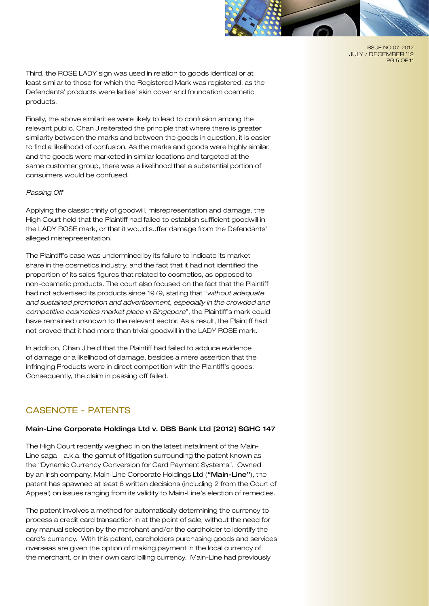

ISSUE NO 07-2012 JULY / DECEMBER '12 PG 5 OF 11

Third, the ROSE LADY sign was used in relation to goods identical or at least similar to those for which the Registered Mark was registered, as the Defendants' products were ladies' skin cover and foundation cosmetic products.

Finally, the above similarities were likely to lead to confusion among the relevant public. Chan J reiterated the principle that where there is greater similarity between the marks and between the goods in question, it is easier to find a likelihood of confusion. As the marks and goods were highly similar, and the goods were marketed in similar locations and targeted at the same customer group, there was a likelihood that a substantial portion of consumers would be confused.

#### *Passing Off*

Applying the classic trinity of goodwill, misrepresentation and damage, the High Court held that the Plaintiff had failed to establish sufficient goodwill in the LADY ROSE mark, or that it would suffer damage from the Defendants' alleged misrepresentation.

The Plaintiff's case was undermined by its failure to indicate its market share in the cosmetics industry, and the fact that it had not identified the proportion of its sales figures that related to cosmetics, as opposed to non-cosmetic products. The court also focused on the fact that the Plaintiff had not advertised its products since 1979, stating that "*without adequate and sustained promotion and advertisement, especially in the crowded and competitive cosmetics market place in Singapore*", the Plaintiff's mark could have remained unknown to the relevant sector. As a result, the Plaintiff had not proved that it had more than trivial goodwill in the LADY ROSE mark.

In addition, Chan J held that the Plaintiff had failed to adduce evidence of damage or a likelihood of damage, besides a mere assertion that the Infringing Products were in direct competition with the Plaintiff's goods. Consequently, the claim in passing off failed.

# CASENOTE - PATENTS

#### Main-Line Corporate Holdings Ltd v. DBS Bank Ltd [2012] SGHC 147

The High Court recently weighed in on the latest installment of the Main-Line saga – a.k.a. the gamut of litigation surrounding the patent known as the "Dynamic Currency Conversion for Card Payment Systems". Owned by an Irish company, Main-Line Corporate Holdings Ltd ("Main-Line"), the patent has spawned at least 6 written decisions (including 2 from the Court of Appeal) on issues ranging from its validity to Main-Line's election of remedies.

The patent involves a method for automatically determining the currency to process a credit card transaction in at the point of sale, without the need for any manual selection by the merchant and/or the cardholder to identify the card's currency. With this patent, cardholders purchasing goods and services overseas are given the option of making payment in the local currency of the merchant, or in their own card billing currency. Main-Line had previously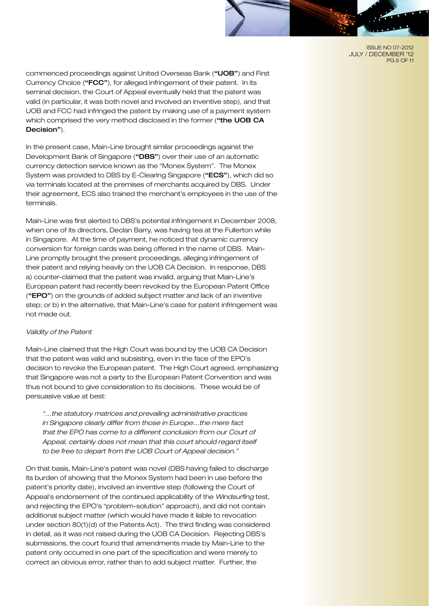ISSUE NO 07-2012 JULY / DECEMBER '12 PG 6 OF 11

commenced proceedings against United Overseas Bank ("UOB") and First Currency Choice ("FCC"), for alleged infringement of their patent. In its seminal decision, the Court of Appeal eventually held that the patent was valid (in particular, it was both novel and involved an inventive step), and that UOB and FCC had infringed the patent by making use of a payment system which comprised the very method disclosed in the former ("the UOB CA Decision").

In the present case, Main-Line brought similar proceedings against the Development Bank of Singapore ("DBS") over their use of an automatic currency detection service known as the "Monex System". The Monex System was provided to DBS by E-Clearing Singapore ("ECS"), which did so via terminals located at the premises of merchants acquired by DBS. Under their agreement, ECS also trained the merchant's employees in the use of the terminals.

Main-Line was first alerted to DBS's potential infringement in December 2008, when one of its directors, Declan Barry, was having tea at the Fullerton while in Singapore. At the time of payment, he noticed that dynamic currency conversion for foreign cards was being offered in the name of DBS. Main-Line promptly brought the present proceedings, alleging infringement of their patent and relying heavily on the UOB CA Decision. In response, DBS a) counter-claimed that the patent was invalid, arguing that Main-Line's European patent had recently been revoked by the European Patent Office ("EPO") on the grounds of added subject matter and lack of an inventive step; or b) in the alternative, that Main-Line's case for patent infringement was not made out.

#### *Validity of the Patent*

Main-Line claimed that the High Court was bound by the UOB CA Decision that the patent was valid and subsisting, even in the face of the EPO's decision to revoke the European patent. The High Court agreed, emphasizing that Singapore was not a party to the European Patent Convention and was thus not bound to give consideration to its decisions. These would be of persuasive value at best:

*"…the statutory matrices and prevailing administrative practices in Singapore clearly differ from those in Europe…the mere fact that the EPO has come to a different conclusion from our Court of Appeal, certainly does not mean that this court should regard itself to be free to depart from the UOB Court of Appeal decision."*

On that basis, Main-Line's patent was novel (DBS having failed to discharge its burden of showing that the Monex System had been in use before the patent's priority date), involved an inventive step (following the Court of Appeal's endorsement of the continued applicability of the *Windsurfing* test, and rejecting the EPO's "problem-solution" approach), and did not contain additional subject matter (which would have made it liable to revocation under section 80(1)(d) of the Patents Act). The third finding was considered in detail, as it was not raised during the UOB CA Decision. Rejecting DBS's submissions, the court found that amendments made by Main-Line to the patent only occurred in one part of the specification and were merely to correct an obvious error, rather than to add subject matter. Further, the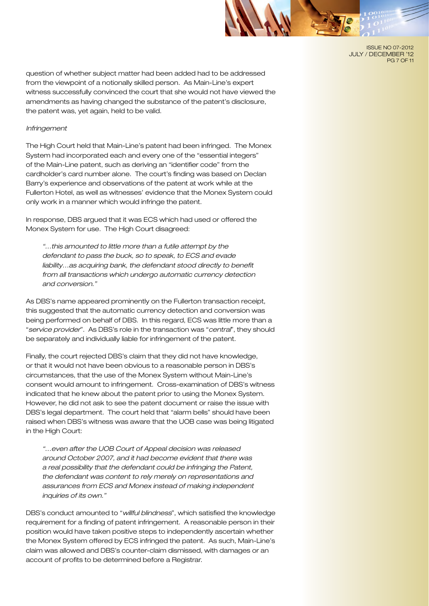

ISSUE NO 07-2012 JULY / DECEMBER '12 PG 7 OF 11

question of whether subject matter had been added had to be addressed from the viewpoint of a notionally skilled person. As Main-Line's expert witness successfully convinced the court that she would not have viewed the amendments as having changed the substance of the patent's disclosure, the patent was, yet again, held to be valid.

#### *Infringement*

The High Court held that Main-Line's patent had been infringed. The Monex System had incorporated each and every one of the "essential integers" of the Main-Line patent, such as deriving an "identifier code" from the cardholder's card number alone. The court's finding was based on Declan Barry's experience and observations of the patent at work while at the Fullerton Hotel, as well as witnesses' evidence that the Monex System could only work in a manner which would infringe the patent.

In response, DBS argued that it was ECS which had used or offered the Monex System for use. The High Court disagreed:

*"…this amounted to little more than a futile attempt by the defendant to pass the buck, so to speak, to ECS and evade liability…as acquiring bank, the defendant stood directly to benefit from all transactions which undergo automatic currency detection and conversion."*

As DBS's name appeared prominently on the Fullerton transaction receipt, this suggested that the automatic currency detection and conversion was being performed on behalf of DBS. In this regard, ECS was little more than a "*service provider*". As DBS's role in the transaction was "*central*", they should be separately and individually liable for infringement of the patent.

Finally, the court rejected DBS's claim that they did not have knowledge, or that it would not have been obvious to a reasonable person in DBS's circumstances, that the use of the Monex System without Main-Line's consent would amount to infringement. Cross-examination of DBS's witness indicated that he knew about the patent prior to using the Monex System. However, he did not ask to see the patent document or raise the issue with DBS's legal department. The court held that "alarm bells" should have been raised when DBS's witness was aware that the UOB case was being litigated in the High Court:

*"…even after the UOB Court of Appeal decision was released around October 2007, and it had become evident that there was a real possibility that the defendant could be infringing the Patent, the defendant was content to rely merely on representations and assurances from ECS and Monex instead of making independent inquiries of its own."*

DBS's conduct amounted to "*willful blindness*", which satisfied the knowledge requirement for a finding of patent infringement. A reasonable person in their position would have taken positive steps to independently ascertain whether the Monex System offered by ECS infringed the patent. As such, Main-Line's claim was allowed and DBS's counter-claim dismissed, with damages or an account of profits to be determined before a Registrar.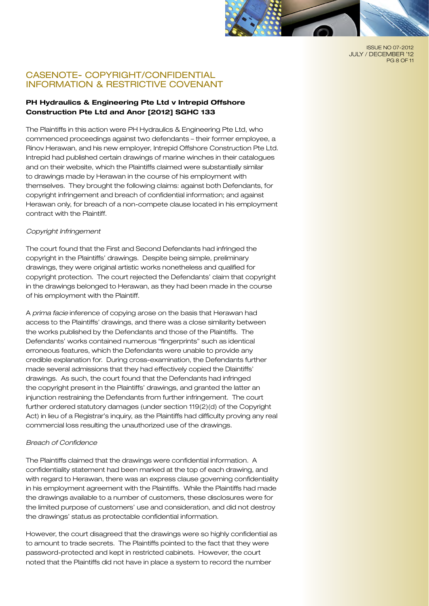

ISSUE NO 07-2012 JULY / DECEMBER '12 PG 8 OF 11

## CASENOTE- COPYRIGHT/CONFIDENTIAL INFORMATION & RESTRICTIVE COVENANT

## **PH Hydraulics & Engineering Pte Ltd v Intrepid Offshore Construction Pte Ltd and Anor [2012] SGHC 133**

The Plaintiffs in this action were PH Hydraulics & Engineering Pte Ltd, who commenced proceedings against two defendants – their former employee, a Rinov Herawan, and his new employer, Intrepid Offshore Construction Pte Ltd. Intrepid had published certain drawings of marine winches in their catalogues and on their website, which the Plaintiffs claimed were substantially similar to drawings made by Herawan in the course of his employment with themselves. They brought the following claims: against both Defendants, for copyright infringement and breach of confidential information; and against Herawan only, for breach of a non-compete clause located in his employment contract with the Plaintiff.

#### *Copyright Infringement*

The court found that the First and Second Defendants had infringed the copyright in the Plaintiffs' drawings. Despite being simple, preliminary drawings, they were original artistic works nonetheless and qualified for copyright protection. The court rejected the Defendants' claim that copyright in the drawings belonged to Herawan, as they had been made in the course of his employment with the Plaintiff.

A *prima facie* inference of copying arose on the basis that Herawan had access to the Plaintiffs' drawings, and there was a close similarity between the works published by the Defendants and those of the Plaintiffs. The Defendants' works contained numerous "fingerprints" such as identical erroneous features, which the Defendants were unable to provide any credible explanation for. During cross-examination, the Defendants further made several admissions that they had effectively copied the Dlaintiffs' drawings. As such, the court found that the Defendants had infringed the copyright present in the Plaintiffs' drawings, and granted the latter an injunction restraining the Defendants from further infringement. The court further ordered statutory damages (under section 119(2)(d) of the Copyright Act) in lieu of a Registrar's inquiry, as the Plaintiffs had difficulty proving any real commercial loss resulting the unauthorized use of the drawings.

#### *Breach of Confidence*

The Plaintiffs claimed that the drawings were confidential information. A confidentiality statement had been marked at the top of each drawing, and with regard to Herawan, there was an express clause governing confidentiality in his employment agreement with the Plaintiffs. While the Plaintiffs had made the drawings available to a number of customers, these disclosures were for the limited purpose of customers' use and consideration, and did not destroy the drawings' status as protectable confidential information.

However, the court disagreed that the drawings were so highly confidential as to amount to trade secrets. The Plaintiffs pointed to the fact that they were password-protected and kept in restricted cabinets. However, the court noted that the Plaintiffs did not have in place a system to record the number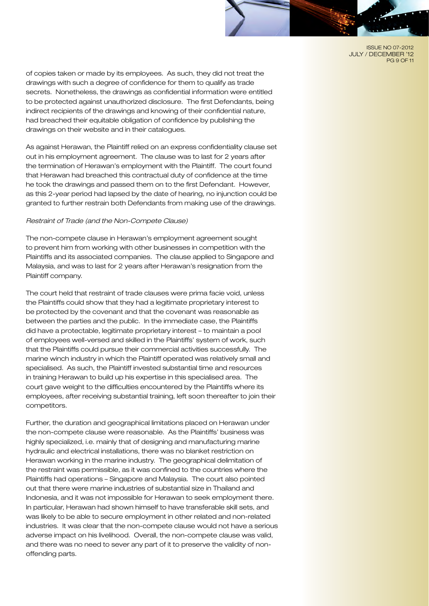ISSUE NO 07-2012 JULY / DECEMBER '12 PG 9 OF 11

of copies taken or made by its employees. As such, they did not treat the drawings with such a degree of confidence for them to qualify as trade secrets. Nonetheless, the drawings as confidential information were entitled to be protected against unauthorized disclosure. The first Defendants, being indirect recipients of the drawings and knowing of their confidential nature, had breached their equitable obligation of confidence by publishing the drawings on their website and in their catalogues.

As against Herawan, the Plaintiff relied on an express confidentiality clause set out in his employment agreement. The clause was to last for 2 years after the termination of Herawan's employment with the Plaintiff. The court found that Herawan had breached this contractual duty of confidence at the time he took the drawings and passed them on to the first Defendant. However, as this 2-year period had lapsed by the date of hearing, no injunction could be granted to further restrain both Defendants from making use of the drawings.

#### *Restraint of Trade (and the Non-Compete Clause)*

The non-compete clause in Herawan's employment agreement sought to prevent him from working with other businesses in competition with the Plaintiffs and its associated companies. The clause applied to Singapore and Malaysia, and was to last for 2 years after Herawan's resignation from the Plaintiff company.

The court held that restraint of trade clauses were prima facie void, unless the Plaintiffs could show that they had a legitimate proprietary interest to be protected by the covenant and that the covenant was reasonable as between the parties and the public. In the immediate case, the Plaintiffs did have a protectable, legitimate proprietary interest – to maintain a pool of employees well-versed and skilled in the Plaintiffs' system of work, such that the Plaintiffs could pursue their commercial activities successfully. The marine winch industry in which the Plaintiff operated was relatively small and specialised. As such, the Plaintiff invested substantial time and resources in training Herawan to build up his expertise in this specialised area. The court gave weight to the difficulties encountered by the Plaintiffs where its employees, after receiving substantial training, left soon thereafter to join their competitors.

Further, the duration and geographical limitations placed on Herawan under the non-compete clause were reasonable. As the Plaintiffs' business was highly specialized, i.e. mainly that of designing and manufacturing marine hydraulic and electrical installations, there was no blanket restriction on Herawan working in the marine industry. The geographical delimitation of the restraint was permissible, as it was confined to the countries where the Plaintiffs had operations – Singapore and Malaysia. The court also pointed out that there were marine industries of substantial size in Thailand and Indonesia, and it was not impossible for Herawan to seek employment there. In particular, Herawan had shown himself to have transferable skill sets, and was likely to be able to secure employment in other related and non-related industries. It was clear that the non-compete clause would not have a serious adverse impact on his livelihood. Overall, the non-compete clause was valid, and there was no need to sever any part of it to preserve the validity of nonoffending parts.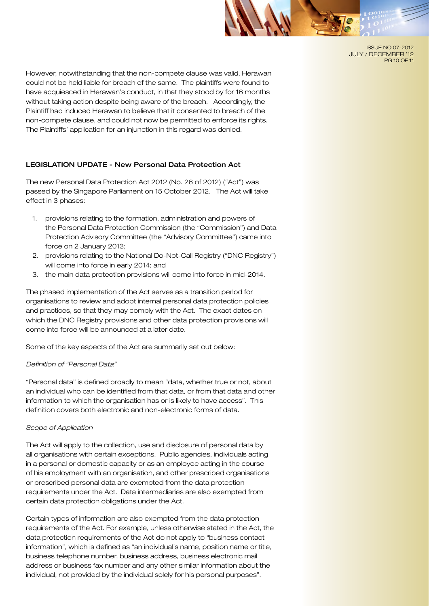

ISSUE NO 07-2012 JULY / DECEMBER '12 PG 10 OF 11

However, notwithstanding that the non-compete clause was valid, Herawan could not be held liable for breach of the same. The plaintiffs were found to have acquiesced in Herawan's conduct, in that they stood by for 16 months without taking action despite being aware of the breach. Accordingly, the Plaintiff had induced Herawan to believe that it consented to breach of the non-compete clause, and could not now be permitted to enforce its rights. The Plaintiffs' application for an injunction in this regard was denied.

### LEGISLATION UPDATE - New Personal Data Protection Act

The new Personal Data Protection Act 2012 (No. 26 of 2012) ("Act") was passed by the Singapore Parliament on 15 October 2012. The Act will take effect in 3 phases:

- 1. provisions relating to the formation, administration and powers of the Personal Data Protection Commission (the "Commission") and Data Protection Advisory Committee (the "Advisory Committee") came into force on 2 January 2013;
- 2. provisions relating to the National Do-Not-Call Registry ("DNC Registry") will come into force in early 2014; and
- 3. the main data protection provisions will come into force in mid-2014.

The phased implementation of the Act serves as a transition period for organisations to review and adopt internal personal data protection policies and practices, so that they may comply with the Act. The exact dates on which the DNC Registry provisions and other data protection provisions will come into force will be announced at a later date.

Some of the key aspects of the Act are summarily set out below:

#### *Definition of "Personal Data"*

"Personal data" is defined broadly to mean "data, whether true or not, about an individual who can be identified from that data, or from that data and other information to which the organisation has or is likely to have access". This definition covers both electronic and non-electronic forms of data.

#### *Scope of Application*

The Act will apply to the collection, use and disclosure of personal data by all organisations with certain exceptions. Public agencies, individuals acting in a personal or domestic capacity or as an employee acting in the course of his employment with an organisation, and other prescribed organisations or prescribed personal data are exempted from the data protection requirements under the Act. Data intermediaries are also exempted from certain data protection obligations under the Act.

Certain types of information are also exempted from the data protection requirements of the Act. For example, unless otherwise stated in the Act, the data protection requirements of the Act do not apply to "business contact information", which is defined as "an individual's name, position name or title, business telephone number, business address, business electronic mail address or business fax number and any other similar information about the individual, not provided by the individual solely for his personal purposes".